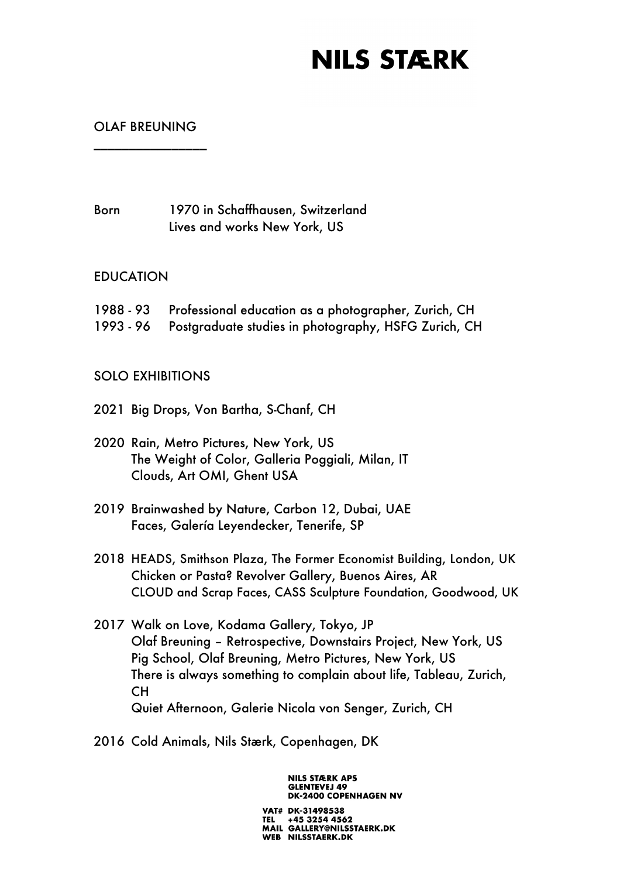### OLAF BREUNING

\_\_\_\_\_\_\_\_\_\_\_\_\_\_\_\_

Born 1970 in Schaffhausen, Switzerland Lives and works New York, US

### EDUCATION

- 1988 93 Professional education as a photographer, Zurich, CH
- 1993 96 Postgraduate studies in photography, HSFG Zurich, CH

### SOLO EXHIBITIONS

- 2021 Big Drops, Von Bartha, S-Chanf, CH
- 2020 Rain, Metro Pictures, New York, US The Weight of Color, Galleria Poggiali, Milan, IT Clouds, Art OMI, Ghent USA
- 2019 Brainwashed by Nature, Carbon 12, Dubai, UAE Faces, Galería Leyendecker, Tenerife, SP
- 2018 HEADS, Smithson Plaza, The Former Economist Building, London, UK Chicken or Pasta? Revolver Gallery, Buenos Aires, AR CLOUD and Scrap Faces, CASS Sculpture Foundation, Goodwood, UK
- 2017 Walk on Love, Kodama Gallery, Tokyo, JP Olaf Breuning – Retrospective, Downstairs Project, New York, US Pig School, Olaf Breuning, Metro Pictures, New York, US There is always something to complain about life, Tableau, Zurich, CH Quiet Afternoon, Galerie Nicola von Senger, Zurich, CH
- 2016 Cold Animals, Nils Stærk, Copenhagen, DK

**GLENTEVEJ 49 DK-2400 COPENHAGEN NV** VAT# DK-31498538 TEL +45 3254 4562<br>MAIL GALLERY@NILSSTAERK.DK WEB NILSSTAERK.DK

**NILS STÆRK APS**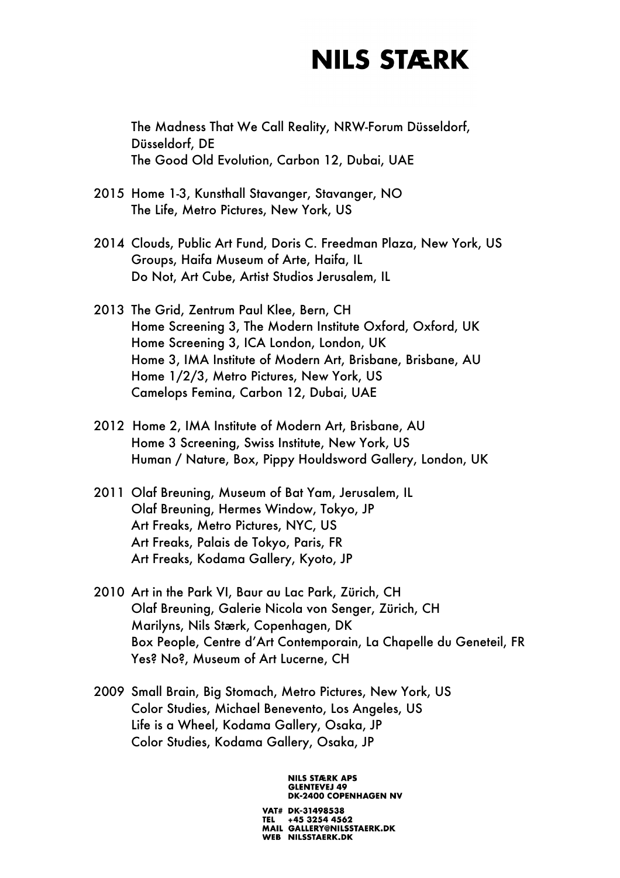The Madness That We Call Reality, NRW-Forum Düsseldorf, Düsseldorf, DE The Good Old Evolution, Carbon 12, Dubai, UAE

- 2015 Home 1-3, Kunsthall Stavanger, Stavanger, NO The Life, Metro Pictures, New York, US
- 2014 Clouds, Public Art Fund, Doris C. Freedman Plaza, New York, US Groups, Haifa Museum of Arte, Haifa, IL Do Not, Art Cube, Artist Studios Jerusalem, IL
- 2013 The Grid, Zentrum Paul Klee, Bern, CH Home Screening 3, The Modern Institute Oxford, Oxford, UK Home Screening 3, ICA London, London, UK Home 3, IMA Institute of Modern Art, Brisbane, Brisbane, AU Home 1/2/3, Metro Pictures, New York, US Camelops Femina, Carbon 12, Dubai, UAE
- 2012 Home 2, IMA Institute of Modern Art, Brisbane, AU Home 3 Screening, Swiss Institute, New York, US Human / Nature, Box, Pippy Houldsword Gallery, London, UK
- 2011 Olaf Breuning, Museum of Bat Yam, Jerusalem, IL Olaf Breuning, Hermes Window, Tokyo, JP Art Freaks, Metro Pictures, NYC, US Art Freaks, Palais de Tokyo, Paris, FR Art Freaks, Kodama Gallery, Kyoto, JP
- 2010 Art in the Park VI, Baur au Lac Park, Zürich, CH Olaf Breuning, Galerie Nicola von Senger, Zürich, CH Marilyns, Nils Stærk, Copenhagen, DK Box People, Centre d'Art Contemporain, La Chapelle du Geneteil, FR Yes? No?, Museum of Art Lucerne, CH
- 2009 Small Brain, Big Stomach, Metro Pictures, New York, US Color Studies, Michael Benevento, Los Angeles, US Life is a Wheel, Kodama Gallery, Osaka, JP Color Studies, Kodama Gallery, Osaka, JP

#### **NILS STÆRK APS GLENTEVEJ 49 DK-2400 COPENHAGEN NV**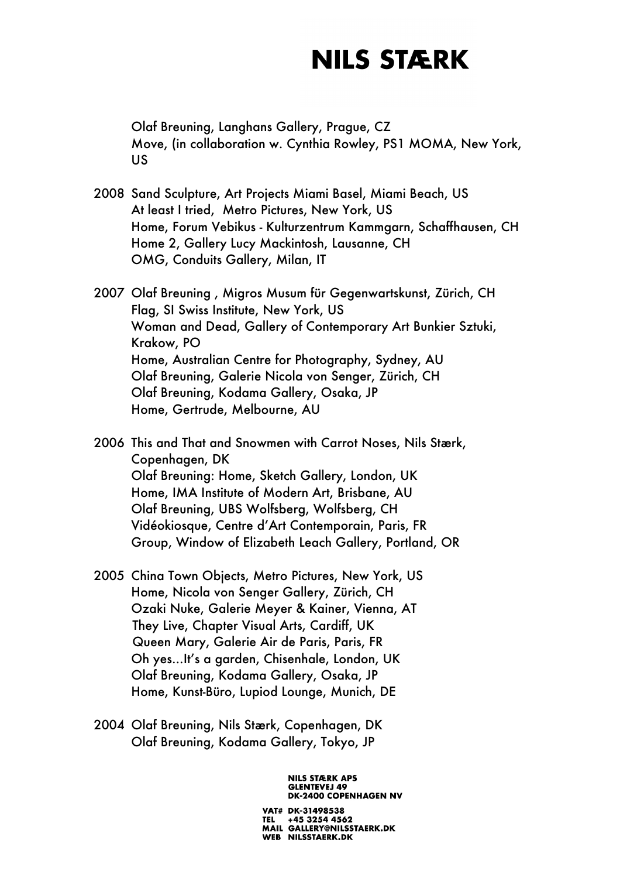Olaf Breuning, Langhans Gallery, Prague, CZ Move, (in collaboration w. Cynthia Rowley, PS1 MOMA, New York, US

- 2008 Sand Sculpture, Art Projects Miami Basel, Miami Beach, US At least I tried, Metro Pictures, New York, US Home, Forum Vebikus - Kulturzentrum Kammgarn, Schaffhausen, CH Home 2, Gallery Lucy Mackintosh, Lausanne, CH OMG, Conduits Gallery, Milan, IT
- 2007 Olaf Breuning , Migros Musum für Gegenwartskunst, Zürich, CH Flag, SI Swiss Institute, New York, US Woman and Dead, Gallery of Contemporary Art Bunkier Sztuki, Krakow, PO Home, Australian Centre for Photography, Sydney, AU Olaf Breuning, Galerie Nicola von Senger, Zürich, CH Olaf Breuning, Kodama Gallery, Osaka, JP Home, Gertrude, Melbourne, AU

2006 This and That and Snowmen with Carrot Noses, Nils Stærk, Copenhagen, DK Olaf Breuning: Home, Sketch Gallery, London, UK Home, IMA Institute of Modern Art, Brisbane, AU Olaf Breuning, UBS Wolfsberg, Wolfsberg, CH Vidéokiosque, Centre d'Art Contemporain, Paris, FR Group, Window of Elizabeth Leach Gallery, Portland, OR

- 2005 China Town Objects, Metro Pictures, New York, US Home, Nicola von Senger Gallery, Zürich, CH Ozaki Nuke, Galerie Meyer & Kainer, Vienna, AT They Live, Chapter Visual Arts, Cardiff, UK Queen Mary, Galerie Air de Paris, Paris, FR Oh yes...It's a garden, Chisenhale, London, UK Olaf Breuning, Kodama Gallery, Osaka, JP Home, Kunst-Büro, Lupiod Lounge, Munich, DE
- 2004 Olaf Breuning, Nils Stærk, Copenhagen, DK Olaf Breuning, Kodama Gallery, Tokyo, JP

**NILS STÆRK APS GLENTEVEJ 49 DK-2400 COPENHAGEN NV**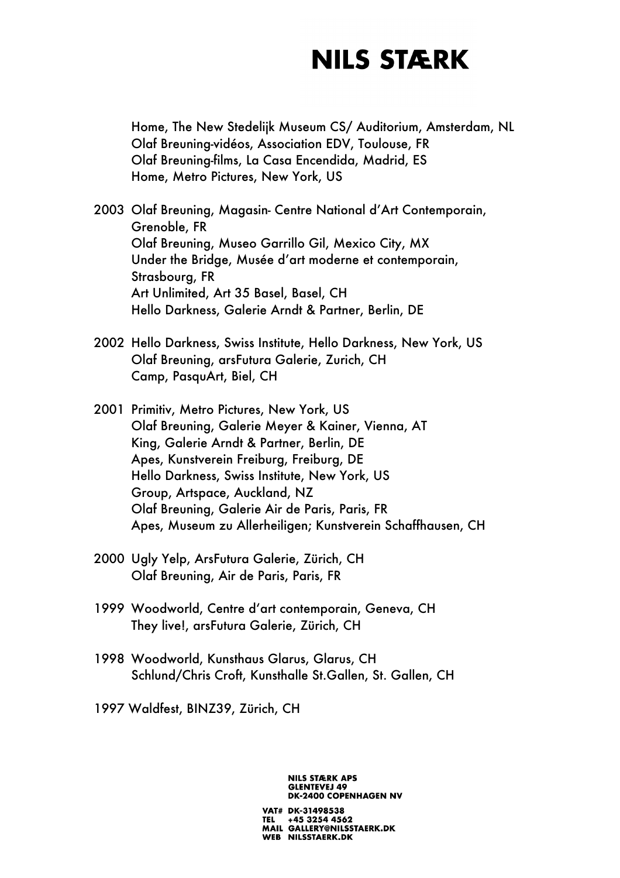Home, The New Stedelijk Museum CS/ Auditorium, Amsterdam, NL Olaf Breuning-vidéos, Association EDV, Toulouse, FR Olaf Breuning-films, La Casa Encendida, Madrid, ES Home, Metro Pictures, New York, US

- 2003 Olaf Breuning, Magasin- Centre National d'Art Contemporain, Grenoble, FR Olaf Breuning, Museo Garrillo Gil, Mexico City, MX Under the Bridge, Musée d'art moderne et contemporain, Strasbourg, FR Art Unlimited, Art 35 Basel, Basel, CH Hello Darkness, Galerie Arndt & Partner, Berlin, DE
- 2002 Hello Darkness, Swiss Institute, Hello Darkness, New York, US Olaf Breuning, arsFutura Galerie, Zurich, CH Camp, PasquArt, Biel, CH
- 2001 Primitiv, Metro Pictures, New York, US Olaf Breuning, Galerie Meyer & Kainer, Vienna, AT King, Galerie Arndt & Partner, Berlin, DE Apes, Kunstverein Freiburg, Freiburg, DE Hello Darkness, Swiss Institute, New York, US Group, Artspace, Auckland, NZ Olaf Breuning, Galerie Air de Paris, Paris, FR Apes, Museum zu Allerheiligen; Kunstverein Schaffhausen, CH
- 2000 Ugly Yelp, ArsFutura Galerie, Zürich, CH Olaf Breuning, Air de Paris, Paris, FR
- 1999 Woodworld, Centre d'art contemporain, Geneva, CH They live!, arsFutura Galerie, Zürich, CH
- 1998 Woodworld, Kunsthaus Glarus, Glarus, CH Schlund/Chris Croft, Kunsthalle St.Gallen, St. Gallen, CH
- 1997 Waldfest, BINZ39, Zürich, CH

#### **NILS STÆRK APS GLENTEVEJ 49 DK-2400 COPENHAGEN NV**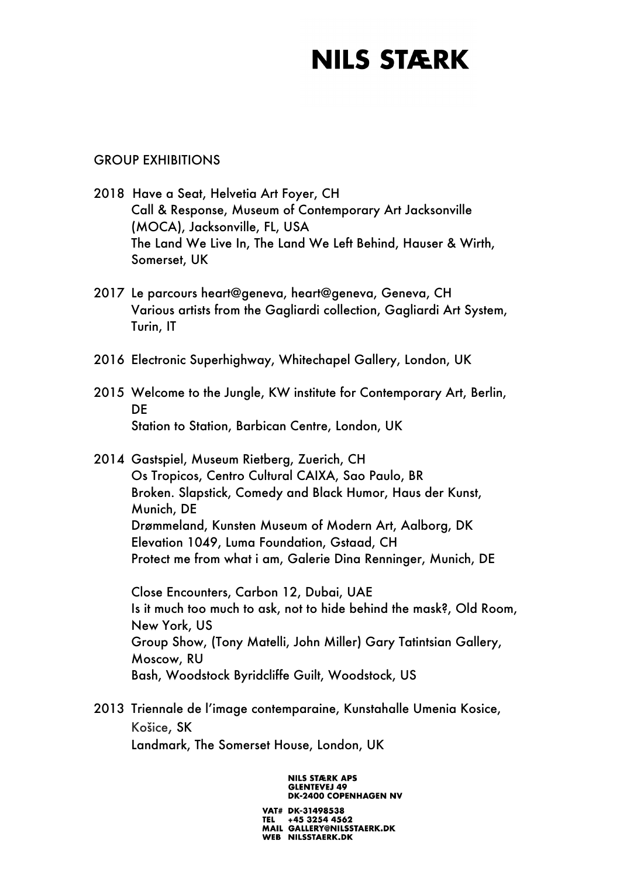### GROUP EXHIBITIONS

- 2018 Have a Seat, Helvetia Art Foyer, CH Call & Response, Museum of Contemporary Art Jacksonville (MOCA), Jacksonville, FL, USA The Land We Live In, The Land We Left Behind, Hauser & Wirth, Somerset, UK
- 2017 Le parcours heart@geneva, heart@geneva, Geneva, CH Various artists from the Gagliardi collection, Gagliardi Art System, Turin, IT
- 2016 Electronic Superhighway, Whitechapel Gallery, London, UK
- 2015 Welcome to the Jungle, KW institute for Contemporary Art, Berlin, **DE** Station to Station, Barbican Centre, London, UK
- 2014 Gastspiel, Museum Rietberg, Zuerich, CH Os Tropicos, Centro Cultural CAIXA, Sao Paulo, BR Broken. Slapstick, Comedy and Black Humor, Haus der Kunst, Munich, DE Drømmeland, Kunsten Museum of Modern Art, Aalborg, DK Elevation 1049, Luma Foundation, Gstaad, CH Protect me from what i am, Galerie Dina Renninger, Munich, DE

Close Encounters, Carbon 12, Dubai, UAE Is it much too much to ask, not to hide behind the mask?, Old Room, New York, US Group Show, (Tony Matelli, John Miller) Gary Tatintsian Gallery, Moscow, RU Bash, Woodstock Byridcliffe Guilt, Woodstock, US

2013 Triennale de l'image contemparaine, Kunstahalle Umenia Kosice, Košice, SK Landmark, The Somerset House, London, UK

> **NILS STÆRK APS GLENTEVEJ 49 DK-2400 COPENHAGEN NV**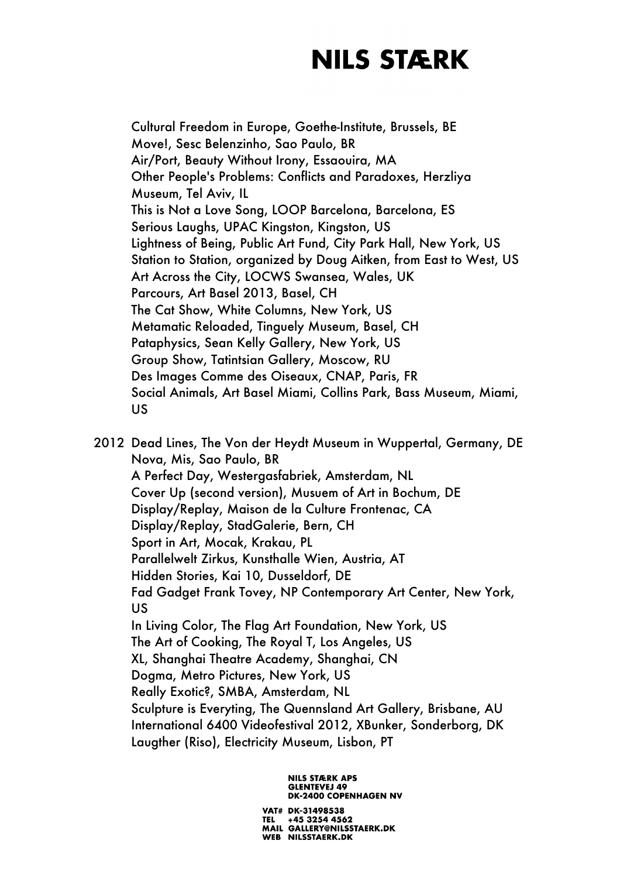Cultural Freedom in Europe, Goethe-Institute, Brussels, BE Move!, Sesc Belenzinho, Sao Paulo, BR Air/Port, Beauty Without Irony, Essaouira, MA Other People's Problems: Conflicts and Paradoxes, Herzliya Museum, Tel Aviv, IL This is Not a Love Song, LOOP Barcelona, Barcelona, ES Serious Laughs, UPAC Kingston, Kingston, US Lightness of Being, Public Art Fund, City Park Hall, New York, US Station to Station, organized by Doug Aitken, from East to West, US Art Across the City, LOCWS Swansea, Wales, UK Parcours, Art Basel 2013, Basel, CH The Cat Show, White Columns, New York, US Metamatic Reloaded, Tinguely Museum, Basel, CH Pataphysics, Sean Kelly Gallery, New York, US Group Show, Tatintsian Gallery, Moscow, RU Des Images Comme des Oiseaux, CNAP, Paris, FR Social Animals, Art Basel Miami, Collins Park, Bass Museum, Miami, US

2012 Dead Lines, The Von der Heydt Museum in Wuppertal, Germany, DE Nova, Mis, Sao Paulo, BR A Perfect Day, Westergasfabriek, Amsterdam, NL Cover Up (second version), Musuem of Art in Bochum, DE Display/Replay, Maison de la Culture Frontenac, CA Display/Replay, StadGalerie, Bern, CH Sport in Art, Mocak, Krakau, PL Parallelwelt Zirkus, Kunsthalle Wien, Austria, AT Hidden Stories, Kai 10, Dusseldorf, DE Fad Gadget Frank Tovey, NP Contemporary Art Center, New York, US In Living Color, The Flag Art Foundation, New York, US The Art of Cooking, The Royal T, Los Angeles, US XL, Shanghai Theatre Academy, Shanghai, CN Dogma, Metro Pictures, New York, US Really Exotic?, SMBA, Amsterdam, NL Sculpture is Everyting, The Quennsland Art Gallery, Brisbane, AU International 6400 Videofestival 2012, XBunker, Sonderborg, DK Laugther (Riso), Electricity Museum, Lisbon, PT

#### **NILS STÆRK APS GLENTEVEJ 49 DK-2400 COPENHAGEN NV**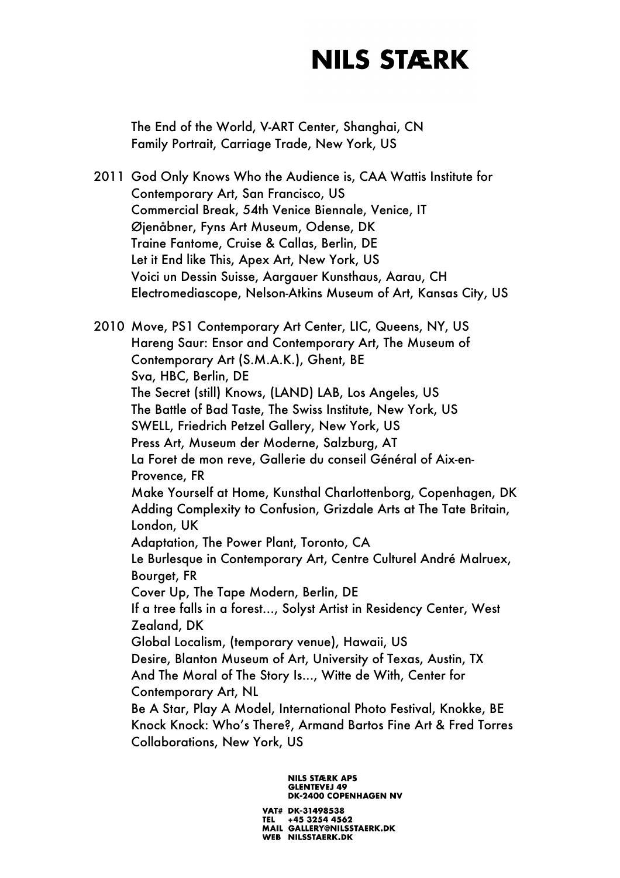The End of the World, V-ART Center, Shanghai, CN Family Portrait, Carriage Trade, New York, US

2011 God Only Knows Who the Audience is, CAA Wattis Institute for Contemporary Art, San Francisco, US Commercial Break, 54th Venice Biennale, Venice, IT Øjenåbner, Fyns Art Museum, Odense, DK Traine Fantome, Cruise & Callas, Berlin, DE Let it End like This, Apex Art, New York, US Voici un Dessin Suisse, Aargauer Kunsthaus, Aarau, CH Electromediascope, Nelson-Atkins Museum of Art, Kansas City, US

2010 Move, PS1 Contemporary Art Center, LIC, Queens, NY, US Hareng Saur: Ensor and Contemporary Art, The Museum of Contemporary Art (S.M.A.K.), Ghent, BE Sva, HBC, Berlin, DE The Secret (still) Knows, (LAND) LAB, Los Angeles, US The Battle of Bad Taste, The Swiss Institute, New York, US SWELL, Friedrich Petzel Gallery, New York, US Press Art, Museum der Moderne, Salzburg, AT La Foret de mon reve, Gallerie du conseil Général of Aix-en-Provence, FR Make Yourself at Home, Kunsthal Charlottenborg, Copenhagen, DK Adding Complexity to Confusion, Grizdale Arts at The Tate Britain, London, UK Adaptation, The Power Plant, Toronto, CA Le Burlesque in Contemporary Art, Centre Culturel André Malruex, Bourget, FR Cover Up, The Tape Modern, Berlin, DE If a tree falls in a forest…, Solyst Artist in Residency Center, West Zealand, DK Global Localism, (temporary venue), Hawaii, US Desire, Blanton Museum of Art, University of Texas, Austin, TX And The Moral of The Story Is..., Witte de With, Center for Contemporary Art, NL Be A Star, Play A Model, International Photo Festival, Knokke, BE Knock Knock: Who's There?, Armand Bartos Fine Art & Fred Torres Collaborations, New York, US

> **NILS STÆRK APS GLENTEVEJ 49 DK-2400 COPENHAGEN NV**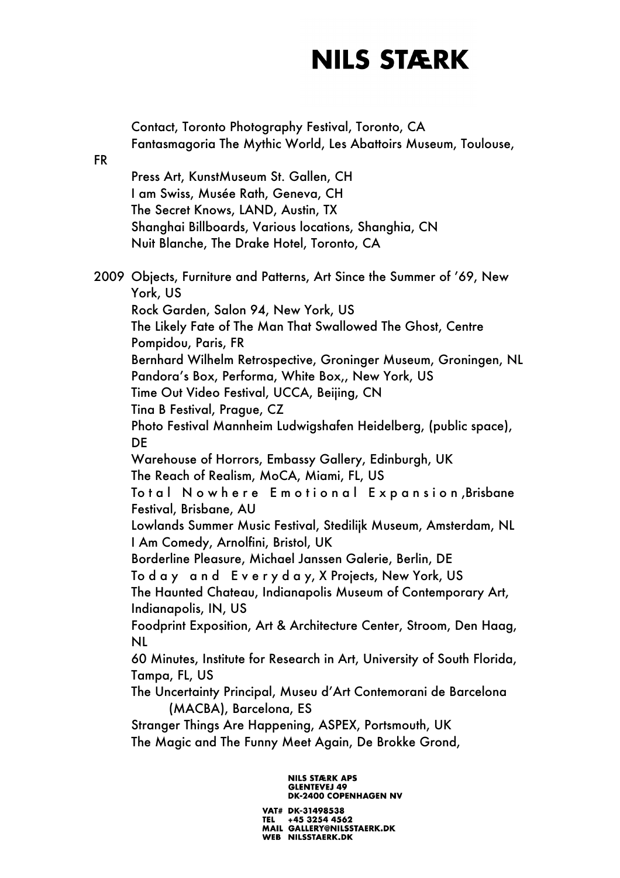|           | Contact, Toronto Photography Festival, Toronto, CA<br>Fantasmagoria The Mythic World, Les Abattoirs Museum, Toulouse,                                                                                                                                                                                                                                                                                                                                                                                                                                                                                                                                                                                                                                                                                                                                                                                                                                                                                                                                                                                                                                                                                                                                                                                                                                                                                    |
|-----------|----------------------------------------------------------------------------------------------------------------------------------------------------------------------------------------------------------------------------------------------------------------------------------------------------------------------------------------------------------------------------------------------------------------------------------------------------------------------------------------------------------------------------------------------------------------------------------------------------------------------------------------------------------------------------------------------------------------------------------------------------------------------------------------------------------------------------------------------------------------------------------------------------------------------------------------------------------------------------------------------------------------------------------------------------------------------------------------------------------------------------------------------------------------------------------------------------------------------------------------------------------------------------------------------------------------------------------------------------------------------------------------------------------|
| <b>FR</b> | Press Art, KunstMuseum St. Gallen, CH<br>I am Swiss, Musée Rath, Geneva, CH<br>The Secret Knows, LAND, Austin, TX<br>Shanghai Billboards, Various locations, Shanghia, CN<br>Nuit Blanche, The Drake Hotel, Toronto, CA                                                                                                                                                                                                                                                                                                                                                                                                                                                                                                                                                                                                                                                                                                                                                                                                                                                                                                                                                                                                                                                                                                                                                                                  |
|           | 2009 Objects, Furniture and Patterns, Art Since the Summer of '69, New<br>York, US<br>Rock Garden, Salon 94, New York, US<br>The Likely Fate of The Man That Swallowed The Ghost, Centre<br>Pompidou, Paris, FR<br>Bernhard Wilhelm Retrospective, Groninger Museum, Groningen, NL<br>Pandora's Box, Performa, White Box,, New York, US<br>Time Out Video Festival, UCCA, Beijing, CN<br>Tina B Festival, Prague, CZ<br>Photo Festival Mannheim Ludwigshafen Heidelberg, (public space),<br>DE<br>Warehouse of Horrors, Embassy Gallery, Edinburgh, UK<br>The Reach of Realism, MoCA, Miami, FL, US<br>Total Nowhere Emotional Expansion,Brisbane<br>Festival, Brisbane, AU<br>Lowlands Summer Music Festival, Stedilijk Museum, Amsterdam, NL<br>I Am Comedy, Arnolfini, Bristol, UK<br>Borderline Pleasure, Michael Janssen Galerie, Berlin, DE<br>Today and Everyday, X Projects, New York, US<br>The Haunted Chateau, Indianapolis Museum of Contemporary Art,<br>Indianapolis, IN, US<br>Foodprint Exposition, Art & Architecture Center, Stroom, Den Haag,<br>NL<br>60 Minutes, Institute for Research in Art, University of South Florida,<br>Tampa, FL, US<br>The Uncertainty Principal, Museu d'Art Contemorani de Barcelona<br>(MACBA), Barcelona, ES<br>Stranger Things Are Happening, ASPEX, Portsmouth, UK<br>The Magic and The Funny Meet Again, De Brokke Grond,<br><b>NILS STÆRK APS</b> |
|           | GLENTEVEJ 49<br>DK-2400 COPENHAGEN NV                                                                                                                                                                                                                                                                                                                                                                                                                                                                                                                                                                                                                                                                                                                                                                                                                                                                                                                                                                                                                                                                                                                                                                                                                                                                                                                                                                    |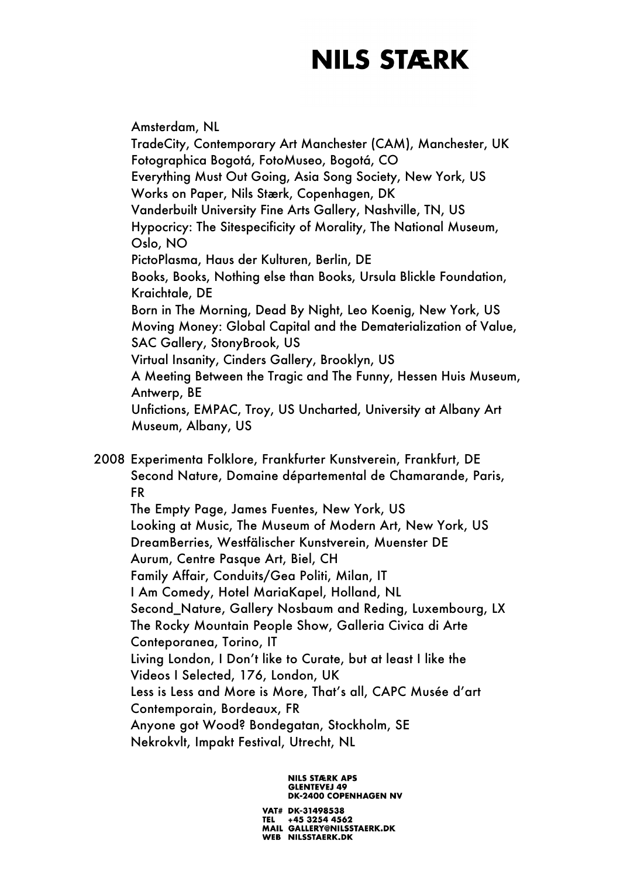Amsterdam, NL TradeCity, Contemporary Art Manchester (CAM), Manchester, UK Fotographica Bogotá, FotoMuseo, Bogotá, CO Everything Must Out Going, Asia Song Society, New York, US Works on Paper, Nils Stærk, Copenhagen, DK Vanderbuilt University Fine Arts Gallery, Nashville, TN, US Hypocricy: The Sitespecificity of Morality, The National Museum, Oslo, NO PictoPlasma, Haus der Kulturen, Berlin, DE Books, Books, Nothing else than Books, Ursula Blickle Foundation, Kraichtale, DE Born in The Morning, Dead By Night, Leo Koenig, New York, US Moving Money: Global Capital and the Dematerialization of Value, SAC Gallery, StonyBrook, US Virtual Insanity, Cinders Gallery, Brooklyn, US A Meeting Between the Tragic and The Funny, Hessen Huis Museum, Antwerp, BE Unfictions, EMPAC, Troy, US Uncharted, University at Albany Art Museum, Albany, US

2008 Experimenta Folklore, Frankfurter Kunstverein, Frankfurt, DE Second Nature, Domaine départemental de Chamarande, Paris, FR The Empty Page, James Fuentes, New York, US Looking at Music, The Museum of Modern Art, New York, US DreamBerries, Westfälischer Kunstverein, Muenster DE Aurum, Centre Pasque Art, Biel, CH Family Affair, Conduits/Gea Politi, Milan, IT I Am Comedy, Hotel MariaKapel, Holland, NL Second\_Nature, Gallery Nosbaum and Reding, Luxembourg, LX The Rocky Mountain People Show, Galleria Civica di Arte Conteporanea, Torino, IT Living London, I Don't like to Curate, but at least I like the Videos I Selected, 176, London, UK Less is Less and More is More, That's all, CAPC Musée d'art Contemporain, Bordeaux, FR Anyone got Wood? Bondegatan, Stockholm, SE Nekrokvlt, Impakt Festival, Utrecht, NL

> **NILS STÆRK APS GLENTEVEJ 49 DK-2400 COPENHAGEN NV**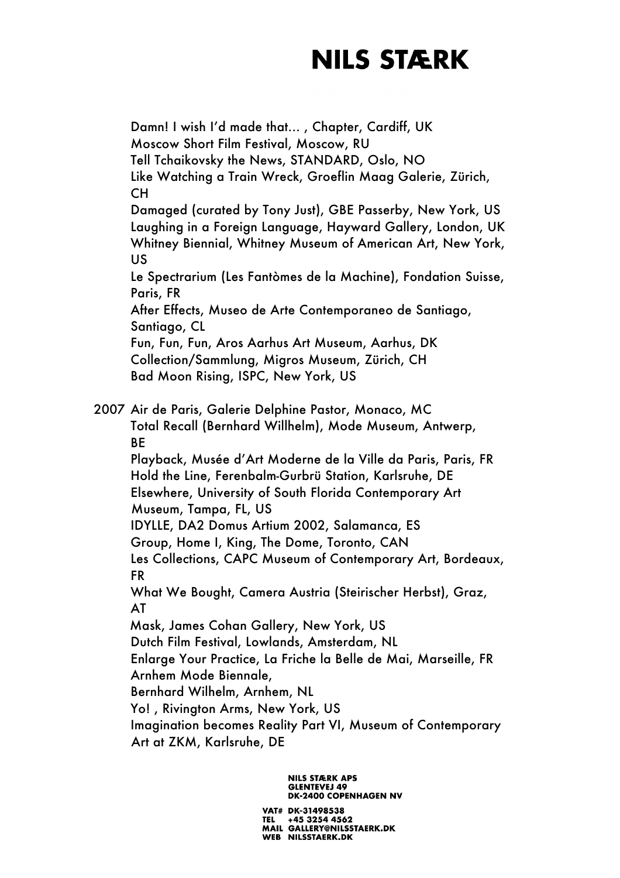Damn! I wish I'd made that... , Chapter, Cardiff, UK Moscow Short Film Festival, Moscow, RU Tell Tchaikovsky the News, STANDARD, Oslo, NO Like Watching a Train Wreck, Groeflin Maag Galerie, Zürich, CH Damaged (curated by Tony Just), GBE Passerby, New York, US Laughing in a Foreign Language, Hayward Gallery, London, UK Whitney Biennial, Whitney Museum of American Art, New York, US Le Spectrarium (Les Fantòmes de la Machine), Fondation Suisse, Paris, FR After Effects, Museo de Arte Contemporaneo de Santiago, Santiago, CL Fun, Fun, Fun, Aros Aarhus Art Museum, Aarhus, DK Collection/Sammlung, Migros Museum, Zürich, CH Bad Moon Rising, ISPC, New York, US 2007 Air de Paris, Galerie Delphine Pastor, Monaco, MC Total Recall (Bernhard Willhelm), Mode Museum, Antwerp, BE Playback, Musée d'Art Moderne de la Ville da Paris, Paris, FR Hold the Line, Ferenbalm-Gurbrü Station, Karlsruhe, DE Elsewhere, University of South Florida Contemporary Art Museum, Tampa, FL, US IDYLLE, DA2 Domus Artium 2002, Salamanca, ES Group, Home I, King, The Dome, Toronto, CAN Les Collections, CAPC Museum of Contemporary Art, Bordeaux, FR What We Bought, Camera Austria (Steirischer Herbst), Graz, AT Mask, James Cohan Gallery, New York, US Dutch Film Festival, Lowlands, Amsterdam, NL Enlarge Your Practice, La Friche la Belle de Mai, Marseille, FR Arnhem Mode Biennale, Bernhard Wilhelm, Arnhem, NL Yo! , Rivington Arms, New York, US Imagination becomes Reality Part VI, Museum of Contemporary Art at ZKM, Karlsruhe, DE

#### **NILS STÆRK APS GLENTEVEJ 49 DK-2400 COPENHAGEN NV**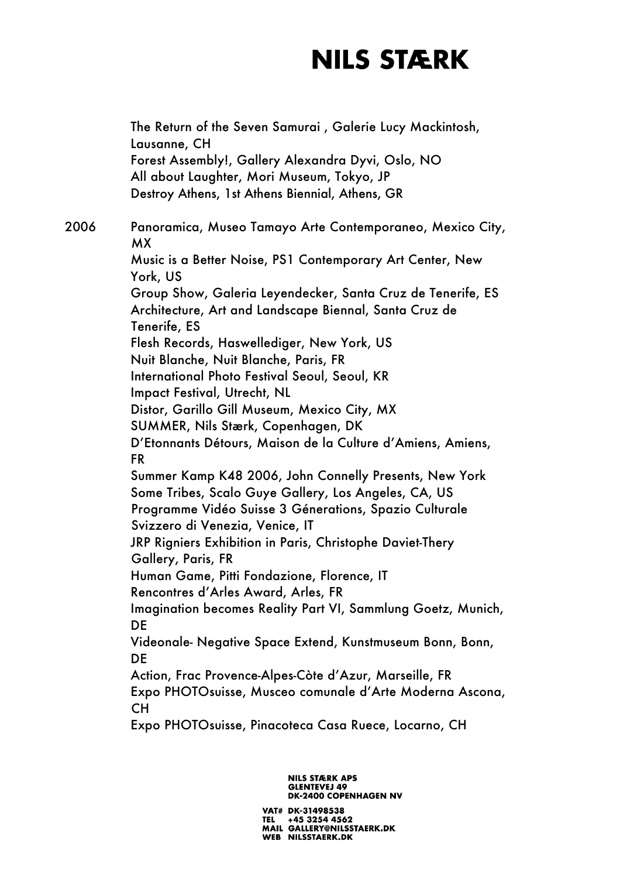The Return of the Seven Samurai , Galerie Lucy Mackintosh, Lausanne, CH Forest Assembly!, Gallery Alexandra Dyvi, Oslo, NO All about Laughter, Mori Museum, Tokyo, JP Destroy Athens, 1st Athens Biennial, Athens, GR 2006 Panoramica, Museo Tamayo Arte Contemporaneo, Mexico City, MX Music is a Better Noise, PS1 Contemporary Art Center, New York, US Group Show, Galeria Leyendecker, Santa Cruz de Tenerife, ES Architecture, Art and Landscape Biennal, Santa Cruz de Tenerife, ES Flesh Records, Haswellediger, New York, US Nuit Blanche, Nuit Blanche, Paris, FR International Photo Festival Seoul, Seoul, KR Impact Festival, Utrecht, NL Distor, Garillo Gill Museum, Mexico City, MX SUMMER, Nils Stærk, Copenhagen, DK D'Etonnants Détours, Maison de la Culture d'Amiens, Amiens, FR Summer Kamp K48 2006, John Connelly Presents, New York Some Tribes, Scalo Guye Gallery, Los Angeles, CA, US Programme Vidéo Suisse 3 Génerations, Spazio Culturale Svizzero di Venezia, Venice, IT JRP Rigniers Exhibition in Paris, Christophe Daviet-Thery Gallery, Paris, FR Human Game, Pitti Fondazione, Florence, IT Rencontres d'Arles Award, Arles, FR Imagination becomes Reality Part VI, Sammlung Goetz, Munich, DE Videonale- Negative Space Extend, Kunstmuseum Bonn, Bonn, DE Action, Frac Provence-Alpes-Còte d'Azur, Marseille, FR Expo PHOTOsuisse, Musceo comunale d'Arte Moderna Ascona, CH Expo PHOTOsuisse, Pinacoteca Casa Ruece, Locarno, CH

#### **NILS STÆRK APS GLENTEVEJ 49 DK-2400 COPENHAGEN NV**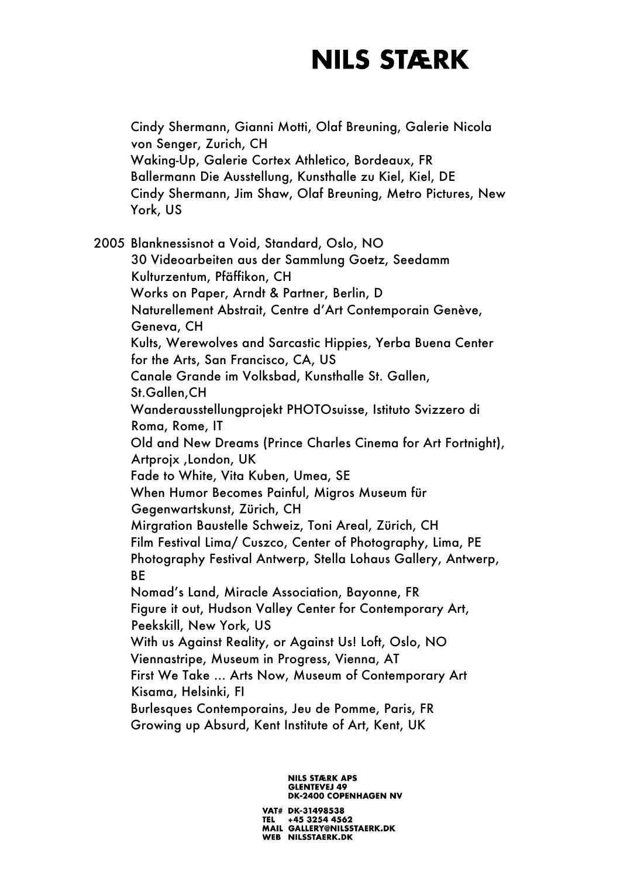Cindy Shermann, Gianni Motti, Olaf Breuning, Galerie Nicola von Senger, Zurich, CH Waking-Up, Galerie Cortex Athletico, Bordeaux, FR Ballermann Die Ausstellung, Kunsthalle zu Kiel, Kiel, DE Cindy Shermann, Jim Shaw, Olaf Breuning, Metro Pictures, New York, US

2005 Blanknessisnot a Void, Standard, Oslo, NO 30 Videoarbeiten aus der Sammlung Goetz, Seedamm Kulturzentum, Pfäffikon, CH Works on Paper, Arndt & Partner, Berlin, D Naturellement Abstrait, Centre d'Art Contemporain Genève, Geneva, CH Kults, Werewolves and Sarcastic Hippies, Yerba Buena Center for the Arts, San Francisco, CA, US Canale Grande im Volksbad, Kunsthalle St. Gallen, St.Gallen,CH Wanderausstellungprojekt PHOTOsuisse, Istituto Svizzero di Roma, Rome, IT Old and New Dreams (Prince Charles Cinema for Art Fortnight), Artprojx ,London, UK Fade to White, Vita Kuben, Umea, SE When Humor Becomes Painful, Migros Museum für Gegenwartskunst, Zürich, CH Mirgration Baustelle Schweiz, Toni Areal, Zürich, CH Film Festival Lima/ Cuszco, Center of Photography, Lima, PE Photography Festival Antwerp, Stella Lohaus Gallery, Antwerp, BE Nomad's Land, Miracle Association, Bayonne, FR Figure it out, Hudson Valley Center for Contemporary Art, Peekskill, New York, US With us Against Reality, or Against Us! Loft, Oslo, NO Viennastripe, Museum in Progress, Vienna, AT First We Take ... Arts Now, Museum of Contemporary Art Kisama, Helsinki, FI Burlesques Contemporains, Jeu de Pomme, Paris, FR Growing up Absurd, Kent Institute of Art, Kent, UK

#### **NILS STÆRK APS GLENTEVEJ 49 DK-2400 COPENHAGEN NV**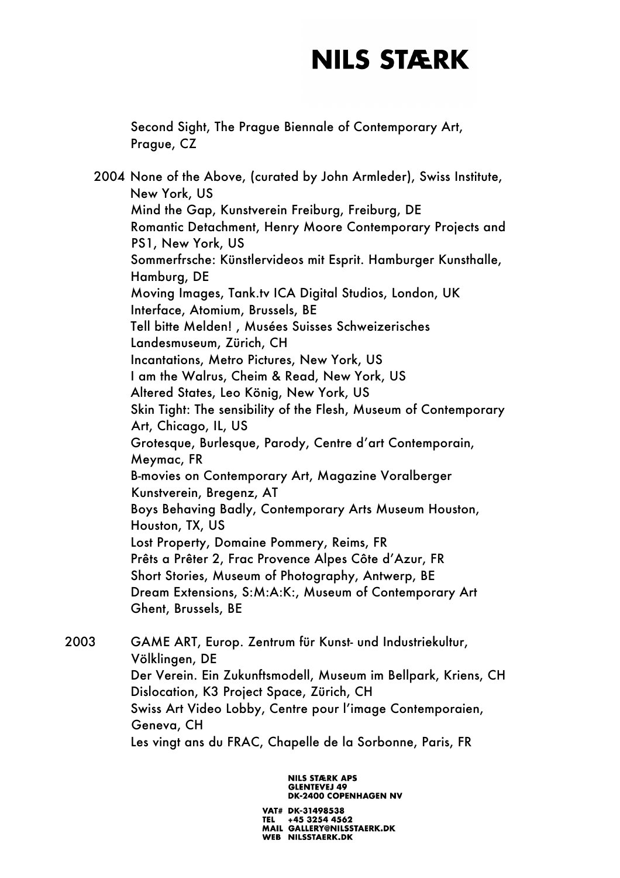Second Sight, The Prague Biennale of Contemporary Art, Prague, CZ

2004 None of the Above, (curated by John Armleder), Swiss Institute, New York, US Mind the Gap, Kunstverein Freiburg, Freiburg, DE Romantic Detachment, Henry Moore Contemporary Projects and PS1, New York, US Sommerfrsche: Künstlervideos mit Esprit. Hamburger Kunsthalle, Hamburg, DE Moving Images, Tank.tv ICA Digital Studios, London, UK Interface, Atomium, Brussels, BE Tell bitte Melden! , Musées Suisses Schweizerisches Landesmuseum, Zürich, CH Incantations, Metro Pictures, New York, US I am the Walrus, Cheim & Read, New York, US Altered States, Leo König, New York, US Skin Tight: The sensibility of the Flesh, Museum of Contemporary Art, Chicago, IL, US Grotesque, Burlesque, Parody, Centre d'art Contemporain, Meymac, FR B-movies on Contemporary Art, Magazine Voralberger Kunstverein, Bregenz, AT Boys Behaving Badly, Contemporary Arts Museum Houston, Houston, TX, US Lost Property, Domaine Pommery, Reims, FR Prêts a Prêter 2, Frac Provence Alpes Côte d'Azur, FR Short Stories, Museum of Photography, Antwerp, BE Dream Extensions, S:M:A:K:, Museum of Contemporary Art Ghent, Brussels, BE

2003 GAME ART, Europ. Zentrum für Kunst- und Industriekultur, Völklingen, DE Der Verein. Ein Zukunftsmodell, Museum im Bellpark, Kriens, CH Dislocation, K3 Project Space, Zürich, CH Swiss Art Video Lobby, Centre pour l'image Contemporaien, Geneva, CH Les vingt ans du FRAC, Chapelle de la Sorbonne, Paris, FR

> **NILS STÆRK APS GLENTEVEJ 49 DK-2400 COPENHAGEN NV**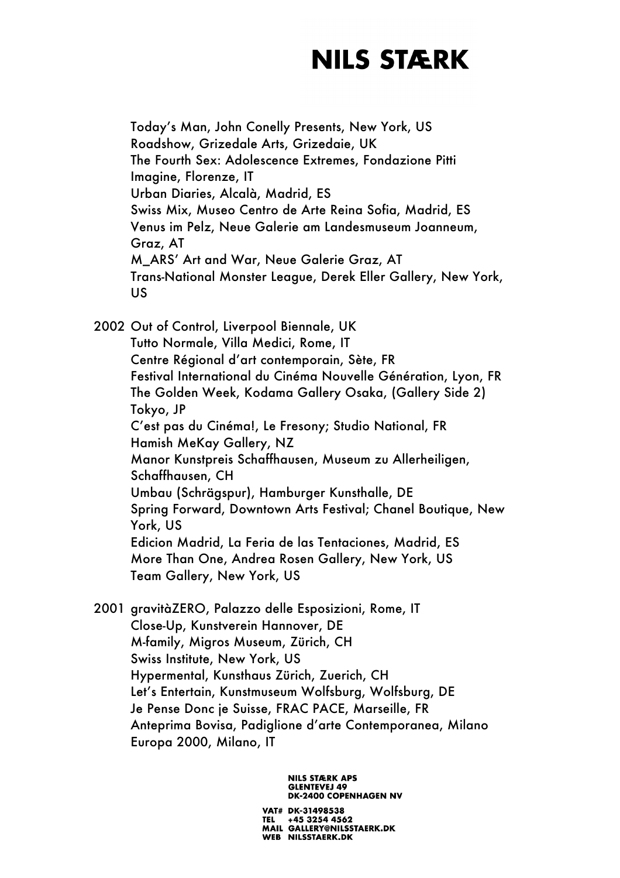Today's Man, John Conelly Presents, New York, US Roadshow, Grizedale Arts, Grizedaie, UK The Fourth Sex: Adolescence Extremes, Fondazione Pitti Imagine, Florenze, IT Urban Diaries, Alcalà, Madrid, ES Swiss Mix, Museo Centro de Arte Reina Sofia, Madrid, ES Venus im Pelz, Neue Galerie am Landesmuseum Joanneum, Graz, AT M\_ARS' Art and War, Neue Galerie Graz, AT Trans-National Monster League, Derek Eller Gallery, New York, US

2002 Out of Control, Liverpool Biennale, UK Tutto Normale, Villa Medici, Rome, IT Centre Régional d'art contemporain, Sète, FR Festival International du Cinéma Nouvelle Génération, Lyon, FR The Golden Week, Kodama Gallery Osaka, (Gallery Side 2) Tokyo, JP C'est pas du Cinéma!, Le Fresony; Studio National, FR Hamish MeKay Gallery, NZ Manor Kunstpreis Schaffhausen, Museum zu Allerheiligen, Schaffhausen, CH Umbau (Schrägspur), Hamburger Kunsthalle, DE Spring Forward, Downtown Arts Festival; Chanel Boutique, New York, US Edicion Madrid, La Feria de las Tentaciones, Madrid, ES More Than One, Andrea Rosen Gallery, New York, US Team Gallery, New York, US

2001 gravitàZERO, Palazzo delle Esposizioni, Rome, IT Close-Up, Kunstverein Hannover, DE M-family, Migros Museum, Zürich, CH Swiss Institute, New York, US Hypermental, Kunsthaus Zürich, Zuerich, CH Let's Entertain, Kunstmuseum Wolfsburg, Wolfsburg, DE Je Pense Donc je Suisse, FRAC PACE, Marseille, FR Anteprima Bovisa, Padiglione d'arte Contemporanea, Milano Europa 2000, Milano, IT

> **NILS STÆRK APS GLENTEVEJ 49 DK-2400 COPENHAGEN NV**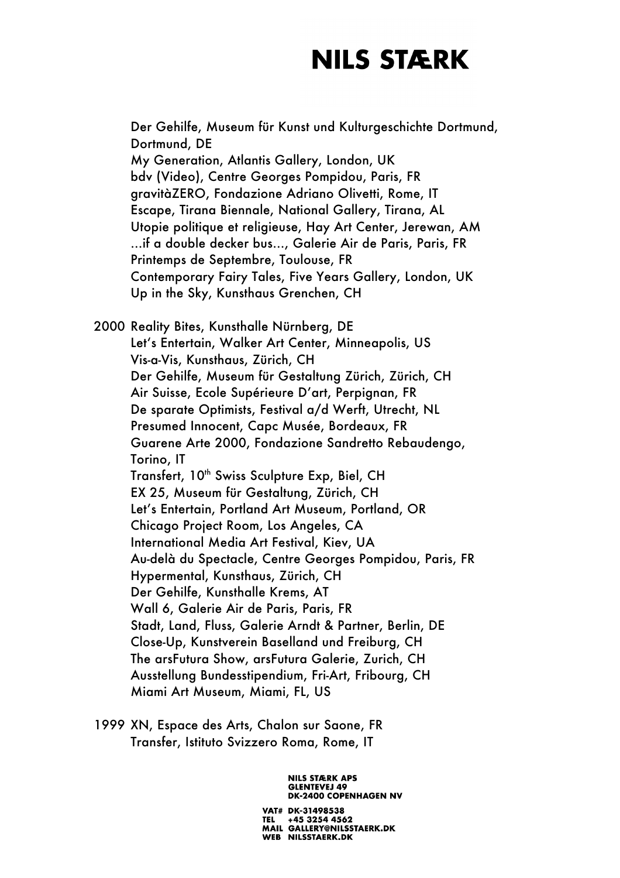Der Gehilfe, Museum für Kunst und Kulturgeschichte Dortmund, Dortmund, DE My Generation, Atlantis Gallery, London, UK bdv (Video), Centre Georges Pompidou, Paris, FR gravitàZERO, Fondazione Adriano Olivetti, Rome, IT Escape, Tirana Biennale, National Gallery, Tirana, AL Utopie politique et religieuse, Hay Art Center, Jerewan, AM …if a double decker bus…, Galerie Air de Paris, Paris, FR Printemps de Septembre, Toulouse, FR Contemporary Fairy Tales, Five Years Gallery, London, UK Up in the Sky, Kunsthaus Grenchen, CH

2000 Reality Bites, Kunsthalle Nürnberg, DE Let's Entertain, Walker Art Center, Minneapolis, US Vis-a-Vis, Kunsthaus, Zürich, CH Der Gehilfe, Museum für Gestaltung Zürich, Zürich, CH Air Suisse, Ecole Supérieure D'art, Perpignan, FR De sparate Optimists, Festival a/d Werft, Utrecht, NL Presumed Innocent, Capc Musée, Bordeaux, FR Guarene Arte 2000, Fondazione Sandretto Rebaudengo, Torino, IT Transfert, 10<sup>th</sup> Swiss Sculpture Exp, Biel, CH EX 25, Museum für Gestaltung, Zürich, CH Let's Entertain, Portland Art Museum, Portland, OR Chicago Project Room, Los Angeles, CA International Media Art Festival, Kiev, UA Au-delà du Spectacle, Centre Georges Pompidou, Paris, FR Hypermental, Kunsthaus, Zürich, CH Der Gehilfe, Kunsthalle Krems, AT Wall 6, Galerie Air de Paris, Paris, FR Stadt, Land, Fluss, Galerie Arndt & Partner, Berlin, DE Close-Up, Kunstverein Baselland und Freiburg, CH The arsFutura Show, arsFutura Galerie, Zurich, CH Ausstellung Bundesstipendium, Fri-Art, Fribourg, CH Miami Art Museum, Miami, FL, US

1999 XN, Espace des Arts, Chalon sur Saone, FR Transfer, Istituto Svizzero Roma, Rome, IT

> **NILS STÆRK APS GLENTEVEJ 49 DK-2400 COPENHAGEN NV**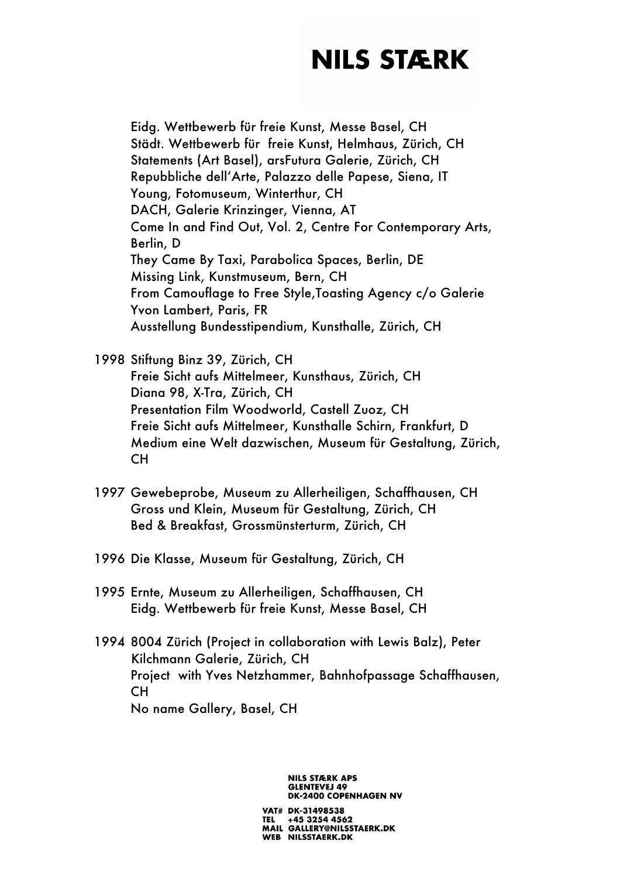Eidg. Wettbewerb für freie Kunst, Messe Basel, CH Städt. Wettbewerb für freie Kunst, Helmhaus, Zürich, CH Statements (Art Basel), arsFutura Galerie, Zürich, CH Repubbliche dell'Arte, Palazzo delle Papese, Siena, IT Young, Fotomuseum, Winterthur, CH DACH, Galerie Krinzinger, Vienna, AT Come In and Find Out, Vol. 2, Centre For Contemporary Arts, Berlin, D They Came By Taxi, Parabolica Spaces, Berlin, DE Missing Link, Kunstmuseum, Bern, CH From Camouflage to Free Style,Toasting Agency c/o Galerie Yvon Lambert, Paris, FR Ausstellung Bundesstipendium, Kunsthalle, Zürich, CH

1998 Stiftung Binz 39, Zürich, CH Freie Sicht aufs Mittelmeer, Kunsthaus, Zürich, CH Diana 98, X-Tra, Zürich, CH Presentation Film Woodworld, Castell Zuoz, CH Freie Sicht aufs Mittelmeer, Kunsthalle Schirn, Frankfurt, D Medium eine Welt dazwischen, Museum für Gestaltung, Zürich, CH

- 1997 Gewebeprobe, Museum zu Allerheiligen, Schaffhausen, CH Gross und Klein, Museum für Gestaltung, Zürich, CH Bed & Breakfast, Grossmünsterturm, Zürich, CH
- 1996 Die Klasse, Museum für Gestaltung, Zürich, CH
- 1995 Ernte, Museum zu Allerheiligen, Schaffhausen, CH Eidg. Wettbewerb für freie Kunst, Messe Basel, CH
- 1994 8004 Zürich (Project in collaboration with Lewis Balz), Peter Kilchmann Galerie, Zürich, CH Project with Yves Netzhammer, Bahnhofpassage Schaffhausen, CH No name Gallery, Basel, CH

**NILS STÆRK APS GLENTEVEJ 49 DK-2400 COPENHAGEN NV**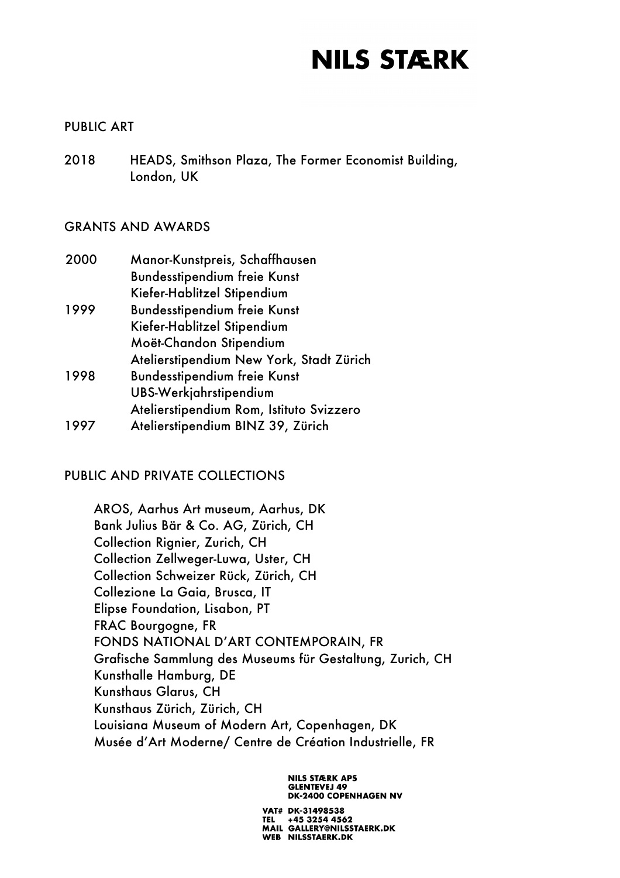### PUBLIC ART

2018 HEADS, Smithson Plaza, The Former Economist Building, London, UK

### GRANTS AND AWARDS

| 2000 | Manor-Kunstpreis, Schaffhausen           |
|------|------------------------------------------|
|      | <b>Bundesstipendium freie Kunst</b>      |
|      | Kiefer-Hablitzel Stipendium              |
| 1999 | <b>Bundesstipendium freie Kunst</b>      |
|      | Kiefer-Hablitzel Stipendium              |
|      | Moët-Chandon Stipendium                  |
|      | Atelierstipendium New York, Stadt Zürich |
| 1998 | <b>Bundesstipendium freie Kunst</b>      |
|      | UBS-Werkjahrstipendium                   |
|      | Atelierstipendium Rom, Istituto Svizzero |
| 1997 | Atelierstipendium BINZ 39, Zürich        |

### PUBLIC AND PRIVATE COLLECTIONS

AROS, Aarhus Art museum, Aarhus, DK Bank Julius Bär & Co. AG, Zürich, CH Collection Rignier, Zurich, CH Collection Zellweger-Luwa, Uster, CH Collection Schweizer Rück, Zürich, CH Collezione La Gaia, Brusca, IT Elipse Foundation, Lisabon, PT FRAC Bourgogne, FR FONDS NATIONAL D'ART CONTEMPORAIN, FR Grafische Sammlung des Museums für Gestaltung, Zurich, CH Kunsthalle Hamburg, DE Kunsthaus Glarus, CH Kunsthaus Zürich, Zürich, CH Louisiana Museum of Modern Art, Copenhagen, DK Musée d'Art Moderne/ Centre de Création Industrielle, FR

> **NILS STÆRK APS GLENTEVEJ 49 DK-2400 COPENHAGEN NV**